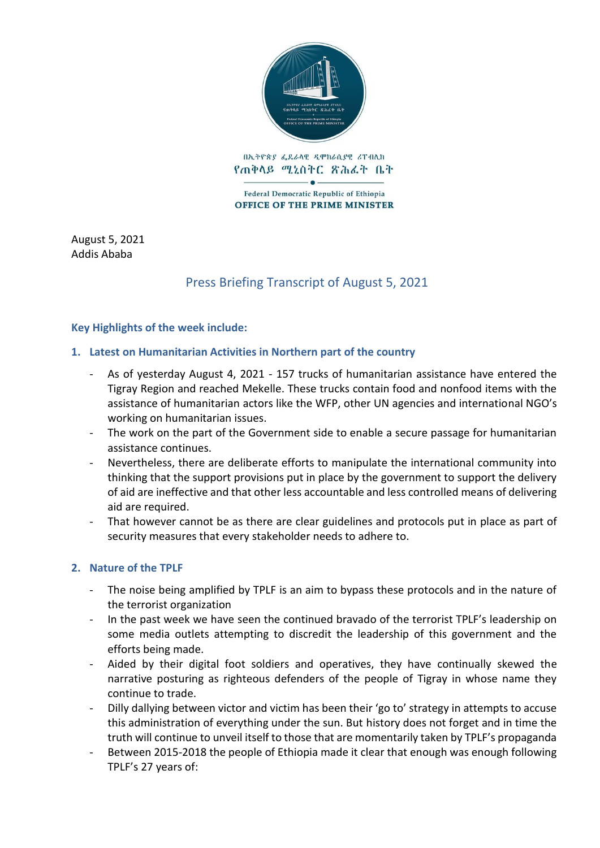

በኢትዮጵያ ፌዴራላዊ ዲሞክራሲያዊ ሪፐብሊክ የጠቅላይ ሚኒስትር ጽሕፈት ቤት

Federal Democratic Republic of Ethiopia **OFFICE OF THE PRIME MINISTER** 

August 5, 2021 Addis Ababa

# Press Briefing Transcript of August 5, 2021

## **Key Highlights of the week include:**

## **1. Latest on Humanitarian Activities in Northern part of the country**

- As of yesterday August 4, 2021 157 trucks of humanitarian assistance have entered the Tigray Region and reached Mekelle. These trucks contain food and nonfood items with the assistance of humanitarian actors like the WFP, other UN agencies and international NGO's working on humanitarian issues.
- The work on the part of the Government side to enable a secure passage for humanitarian assistance continues.
- Nevertheless, there are deliberate efforts to manipulate the international community into thinking that the support provisions put in place by the government to support the delivery of aid are ineffective and that other less accountable and less controlled means of delivering aid are required.
- That however cannot be as there are clear guidelines and protocols put in place as part of security measures that every stakeholder needs to adhere to.

# **2. Nature of the TPLF**

- The noise being amplified by TPLF is an aim to bypass these protocols and in the nature of the terrorist organization
- In the past week we have seen the continued bravado of the terrorist TPLF's leadership on some media outlets attempting to discredit the leadership of this government and the efforts being made.
- Aided by their digital foot soldiers and operatives, they have continually skewed the narrative posturing as righteous defenders of the people of Tigray in whose name they continue to trade.
- Dilly dallying between victor and victim has been their 'go to' strategy in attempts to accuse this administration of everything under the sun. But history does not forget and in time the truth will continue to unveil itself to those that are momentarily taken by TPLF's propaganda
- Between 2015-2018 the people of Ethiopia made it clear that enough was enough following TPLF's 27 years of: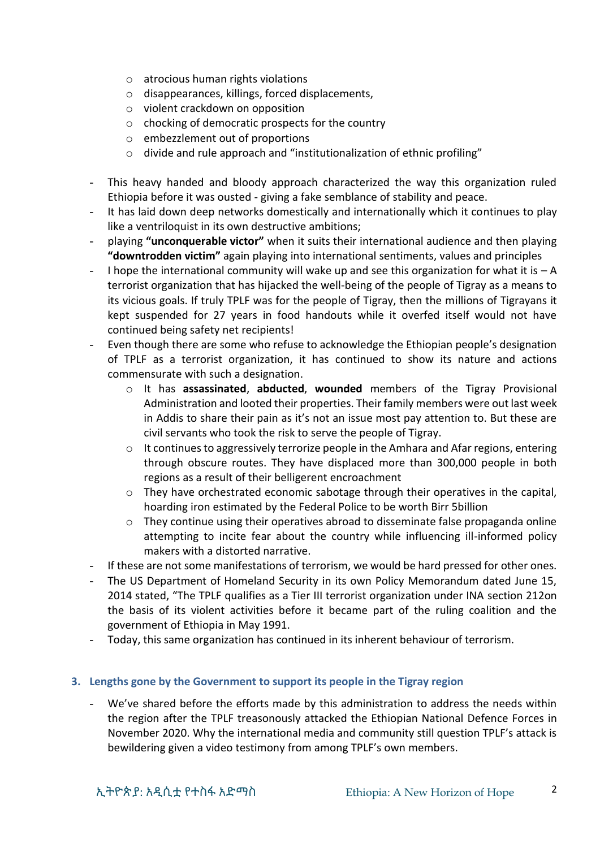- o atrocious human rights violations
- o disappearances, killings, forced displacements,
- o violent crackdown on opposition
- o chocking of democratic prospects for the country
- o embezzlement out of proportions
- o divide and rule approach and "institutionalization of ethnic profiling"
- This heavy handed and bloody approach characterized the way this organization ruled Ethiopia before it was ousted - giving a fake semblance of stability and peace.
- It has laid down deep networks domestically and internationally which it continues to play like a ventriloquist in its own destructive ambitions;
- playing **"unconquerable victor"** when it suits their international audience and then playing **"downtrodden victim"** again playing into international sentiments, values and principles
- I hope the international community will wake up and see this organization for what it is  $-A$ terrorist organization that has hijacked the well-being of the people of Tigray as a means to its vicious goals. If truly TPLF was for the people of Tigray, then the millions of Tigrayans it kept suspended for 27 years in food handouts while it overfed itself would not have continued being safety net recipients!
- Even though there are some who refuse to acknowledge the Ethiopian people's designation of TPLF as a terrorist organization, it has continued to show its nature and actions commensurate with such a designation.
	- o It has **assassinated**, **abducted**, **wounded** members of the Tigray Provisional Administration and looted their properties. Their family members were out last week in Addis to share their pain as it's not an issue most pay attention to. But these are civil servants who took the risk to serve the people of Tigray.
	- o It continues to aggressively terrorize people in the Amhara and Afar regions, entering through obscure routes. They have displaced more than 300,000 people in both regions as a result of their belligerent encroachment
	- $\circ$  They have orchestrated economic sabotage through their operatives in the capital, hoarding iron estimated by the Federal Police to be worth Birr 5billion
	- o They continue using their operatives abroad to disseminate false propaganda online attempting to incite fear about the country while influencing ill-informed policy makers with a distorted narrative.
- If these are not some manifestations of terrorism, we would be hard pressed for other ones.
- The US Department of Homeland Security in its own Policy Memorandum dated June 15, 2014 stated, "The TPLF qualifies as a Tier III terrorist organization under INA section 212on the basis of its violent activities before it became part of the ruling coalition and the government of Ethiopia in May 1991.
- Today, this same organization has continued in its inherent behaviour of terrorism.

#### **3. Lengths gone by the Government to support its people in the Tigray region**

We've shared before the efforts made by this administration to address the needs within the region after the TPLF treasonously attacked the Ethiopian National Defence Forces in November 2020. Why the international media and community still question TPLF's attack is bewildering given a video testimony from among TPLF's own members.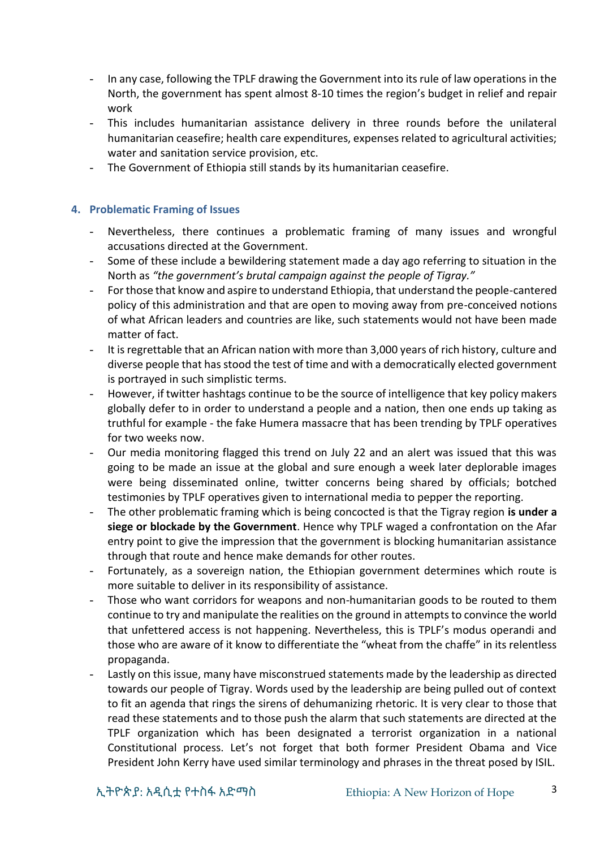- In any case, following the TPLF drawing the Government into its rule of law operations in the North, the government has spent almost 8-10 times the region's budget in relief and repair work
- This includes humanitarian assistance delivery in three rounds before the unilateral humanitarian ceasefire; health care expenditures, expenses related to agricultural activities; water and sanitation service provision, etc.
- The Government of Ethiopia still stands by its humanitarian ceasefire.

#### **4. Problematic Framing of Issues**

- Nevertheless, there continues a problematic framing of many issues and wrongful accusations directed at the Government.
- Some of these include a bewildering statement made a day ago referring to situation in the North as *"the government's brutal campaign against the people of Tigray."*
- For those that know and aspire to understand Ethiopia, that understand the people-cantered policy of this administration and that are open to moving away from pre-conceived notions of what African leaders and countries are like, such statements would not have been made matter of fact.
- It is regrettable that an African nation with more than 3,000 years of rich history, culture and diverse people that has stood the test of time and with a democratically elected government is portrayed in such simplistic terms.
- However, if twitter hashtags continue to be the source of intelligence that key policy makers globally defer to in order to understand a people and a nation, then one ends up taking as truthful for example - the fake Humera massacre that has been trending by TPLF operatives for two weeks now.
- Our media monitoring flagged this trend on July 22 and an alert was issued that this was going to be made an issue at the global and sure enough a week later deplorable images were being disseminated online, twitter concerns being shared by officials; botched testimonies by TPLF operatives given to international media to pepper the reporting.
- The other problematic framing which is being concocted is that the Tigray region **is under a siege or blockade by the Government**. Hence why TPLF waged a confrontation on the Afar entry point to give the impression that the government is blocking humanitarian assistance through that route and hence make demands for other routes.
- Fortunately, as a sovereign nation, the Ethiopian government determines which route is more suitable to deliver in its responsibility of assistance.
- Those who want corridors for weapons and non-humanitarian goods to be routed to them continue to try and manipulate the realities on the ground in attempts to convince the world that unfettered access is not happening. Nevertheless, this is TPLF's modus operandi and those who are aware of it know to differentiate the "wheat from the chaffe" in its relentless propaganda.
- Lastly on this issue, many have misconstrued statements made by the leadership as directed towards our people of Tigray. Words used by the leadership are being pulled out of context to fit an agenda that rings the sirens of dehumanizing rhetoric. It is very clear to those that read these statements and to those push the alarm that such statements are directed at the TPLF organization which has been designated a terrorist organization in a national Constitutional process. Let's not forget that both former President Obama and Vice President John Kerry have used similar terminology and phrases in the threat posed by ISIL.